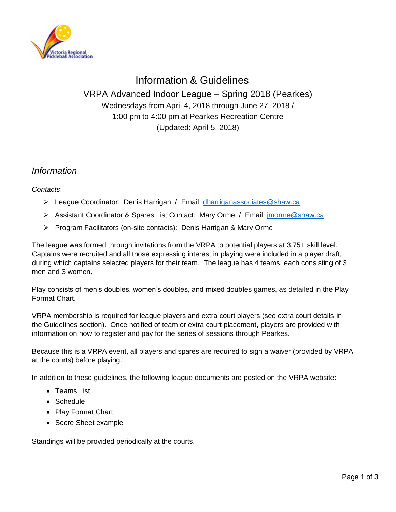

# Information & Guidelines VRPA Advanced Indoor League – Spring 2018 (Pearkes) Wednesdays from April 4, 2018 through June 27, 2018 / 1:00 pm to 4:00 pm at Pearkes Recreation Centre (Updated: April 5, 2018)

### *Information*

*Contacts*:

- ➢ League Coordinator: Denis Harrigan / Email: [dharriganassociates@shaw.ca](mailto:dharriganassociates@shaw.ca)
- ➢ Assistant Coordinator & Spares List Contact: Mary Orme / Email: [jmorme@shaw.ca](mailto:jmorme@shaw.ca)
- ➢ Program Facilitators (on-site contacts): Denis Harrigan & Mary Orme

The league was formed through invitations from the VRPA to potential players at 3.75+ skill level. Captains were recruited and all those expressing interest in playing were included in a player draft, during which captains selected players for their team. The league has 4 teams, each consisting of 3 men and 3 women.

Play consists of men's doubles, women's doubles, and mixed doubles games, as detailed in the Play Format Chart.

VRPA membership is required for league players and extra court players (see extra court details in the Guidelines section). Once notified of team or extra court placement, players are provided with information on how to register and pay for the series of sessions through Pearkes.

Because this is a VRPA event, all players and spares are required to sign a waiver (provided by VRPA at the courts) before playing.

In addition to these guidelines, the following league documents are posted on the VRPA website:

- Teams List
- Schedule
- Play Format Chart
- Score Sheet example

Standings will be provided periodically at the courts.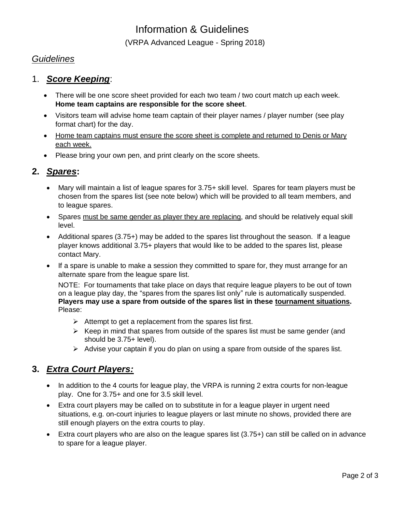# Information & Guidelines

(VRPA Advanced League - Spring 2018)

#### *Guidelines*

#### 1. *Score Keeping*:

- There will be one score sheet provided for each two team / two court match up each week. **Home team captains are responsible for the score sheet**.
- Visitors team will advise home team captain of their player names / player number (see play format chart) for the day.
- Home team captains must ensure the score sheet is complete and returned to Denis or Mary each week.
- Please bring your own pen, and print clearly on the score sheets.

### **2.** *Spares***:**

- Mary will maintain a list of league spares for 3.75+ skill level. Spares for team players must be chosen from the spares list (see note below) which will be provided to all team members, and to league spares.
- Spares must be same gender as player they are replacing, and should be relatively equal skill level.
- Additional spares (3.75+) may be added to the spares list throughout the season. If a league player knows additional 3.75+ players that would like to be added to the spares list, please contact Mary.
- If a spare is unable to make a session they committed to spare for, they must arrange for an alternate spare from the league spare list.

NOTE: For tournaments that take place on days that require league players to be out of town on a league play day, the "spares from the spares list only" rule is automatically suspended. **Players may use a spare from outside of the spares list in these tournament situations.**  Please:

- $\triangleright$  Attempt to get a replacement from the spares list first.
- $\triangleright$  Keep in mind that spares from outside of the spares list must be same gender (and should be 3.75+ level).
- ➢ Advise your captain if you do plan on using a spare from outside of the spares list.

#### **3.** *Extra Court Players:*

- In addition to the 4 courts for league play, the VRPA is running 2 extra courts for non-league play. One for 3.75+ and one for 3.5 skill level.
- Extra court players may be called on to substitute in for a league player in urgent need situations, e.g. on-court injuries to league players or last minute no shows, provided there are still enough players on the extra courts to play.
- Extra court players who are also on the league spares list (3.75+) can still be called on in advance to spare for a league player.